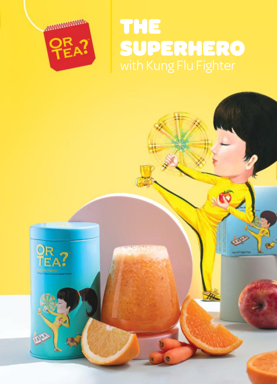

# THE SUPERHERO